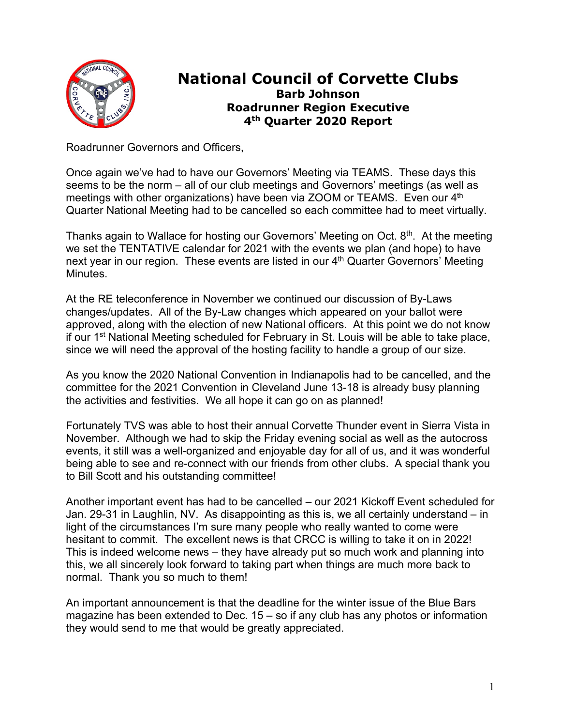

## **National Council of Corvette Clubs Barb Johnson Roadrunner Region Executive 4th Quarter 2020 Report**

Roadrunner Governors and Officers,

Once again we've had to have our Governors' Meeting via TEAMS. These days this seems to be the norm – all of our club meetings and Governors' meetings (as well as meetings with other organizations) have been via ZOOM or TEAMS. Even our 4<sup>th</sup> Quarter National Meeting had to be cancelled so each committee had to meet virtually.

Thanks again to Wallace for hosting our Governors' Meeting on Oct.  $8<sup>th</sup>$ . At the meeting we set the TENTATIVE calendar for 2021 with the events we plan (and hope) to have next year in our region. These events are listed in our  $4<sup>th</sup>$  Quarter Governors' Meeting Minutes.

At the RE teleconference in November we continued our discussion of By-Laws changes/updates. All of the By-Law changes which appeared on your ballot were approved, along with the election of new National officers. At this point we do not know if our 1<sup>st</sup> National Meeting scheduled for February in St. Louis will be able to take place, since we will need the approval of the hosting facility to handle a group of our size.

As you know the 2020 National Convention in Indianapolis had to be cancelled, and the committee for the 2021 Convention in Cleveland June 13-18 is already busy planning the activities and festivities. We all hope it can go on as planned!

Fortunately TVS was able to host their annual Corvette Thunder event in Sierra Vista in November. Although we had to skip the Friday evening social as well as the autocross events, it still was a well-organized and enjoyable day for all of us, and it was wonderful being able to see and re-connect with our friends from other clubs. A special thank you to Bill Scott and his outstanding committee!

Another important event has had to be cancelled – our 2021 Kickoff Event scheduled for Jan. 29-31 in Laughlin, NV. As disappointing as this is, we all certainly understand – in light of the circumstances I'm sure many people who really wanted to come were hesitant to commit. The excellent news is that CRCC is willing to take it on in 2022! This is indeed welcome news – they have already put so much work and planning into this, we all sincerely look forward to taking part when things are much more back to normal. Thank you so much to them!

An important announcement is that the deadline for the winter issue of the Blue Bars magazine has been extended to Dec. 15 – so if any club has any photos or information they would send to me that would be greatly appreciated.